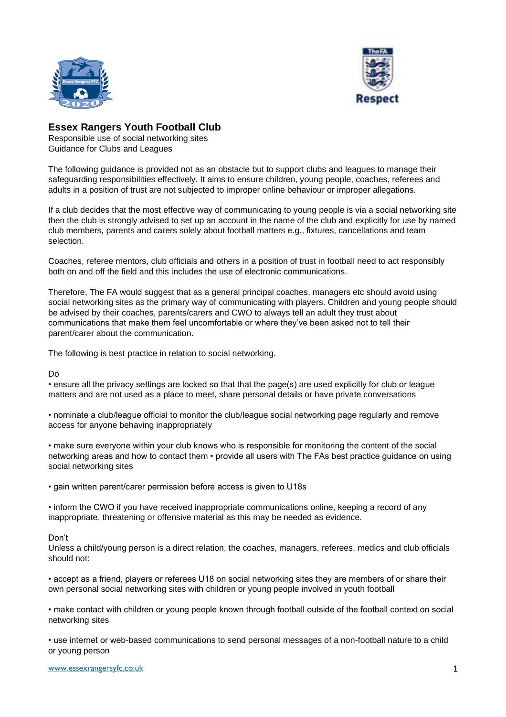



## **Essex Rangers Youth Football Club**

Responsible use of social networking sites Guidance for Clubs and Leagues

The following guidance is provided not as an obstacle but to support clubs and leagues to manage their safeguarding responsibilities effectively. It aims to ensure children, young people, coaches, referees and adults in a position of trust are not subjected to improper online behaviour or improper allegations.

If a club decides that the most effective way of communicating to young people is via a social networking site then the club is strongly advised to set up an account in the name of the club and explicitly for use by named club members, parents and carers solely about football matters e.g., fixtures, cancellations and team selection.

Coaches, referee mentors, club officials and others in a position of trust in football need to act responsibly both on and off the field and this includes the use of electronic communications.

Therefore, The FA would suggest that as a general principal coaches, managers etc should avoid using social networking sites as the primary way of communicating with players. Children and young people should be advised by their coaches, parents/carers and CWO to always tell an adult they trust about communications that make them feel uncomfortable or where they've been asked not to tell their parent/carer about the communication.

The following is best practice in relation to social networking.

Do

• ensure all the privacy settings are locked so that that the page(s) are used explicitly for club or league matters and are not used as a place to meet, share personal details or have private conversations

• nominate a club/league official to monitor the club/league social networking page regularly and remove access for anyone behaving inappropriately

• make sure everyone within your club knows who is responsible for monitoring the content of the social networking areas and how to contact them • provide all users with The FAs best practice guidance on using social networking sites

• gain written parent/carer permission before access is given to U18s

• inform the CWO if you have received inappropriate communications online, keeping a record of any inappropriate, threatening or offensive material as this may be needed as evidence.

## Don't

Unless a child/young person is a direct relation, the coaches, managers, referees, medics and club officials should not:

• accept as a friend, players or referees U18 on social networking sites they are members of or share their own personal social networking sites with children or young people involved in youth football

• make contact with children or young people known through football outside of the football context on social networking sites

• use internet or web-based communications to send personal messages of a non-football nature to a child or young person